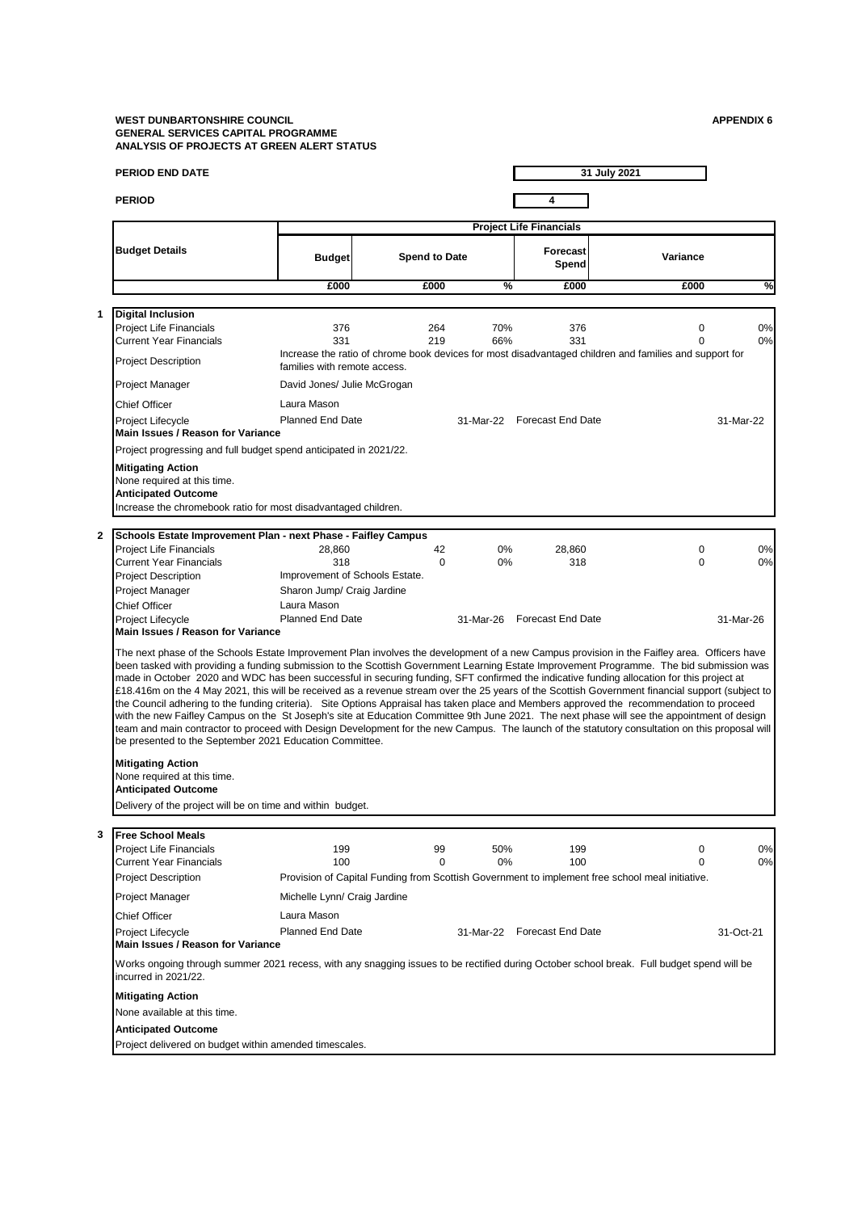## **WEST DUNBARTONSHIRE COUNCIL APPENDIX 6 GENERAL SERVICES CAPITAL PROGRAMME ANALYSIS OF PROJECTS AT GREEN ALERT STATUS**

**PERIOD END DATE**

**1 Digital Inclusion**

**2**

| PERIOD END DATE                                                   |                                                                                                                                        |                      |           | 31 July 2021                   |          |            |  |
|-------------------------------------------------------------------|----------------------------------------------------------------------------------------------------------------------------------------|----------------------|-----------|--------------------------------|----------|------------|--|
| <b>PERIOD</b>                                                     |                                                                                                                                        |                      |           |                                |          |            |  |
|                                                                   |                                                                                                                                        |                      |           | <b>Project Life Financials</b> |          |            |  |
| <b>Budget Details</b>                                             | <b>Budget</b>                                                                                                                          | <b>Spend to Date</b> |           | Forecast<br>Spend              | Variance |            |  |
|                                                                   | £000                                                                                                                                   | £000                 | %         | £000                           | £000     | $\sqrt{2}$ |  |
|                                                                   |                                                                                                                                        |                      |           |                                |          |            |  |
| Digital Inclusion                                                 |                                                                                                                                        |                      |           |                                |          |            |  |
| Project Life Financials                                           | 376                                                                                                                                    | 264                  | 70%       | 376                            | 0        | 0%         |  |
| <b>Current Year Financials</b>                                    | 331                                                                                                                                    | 219                  | 66%       | 331                            | $\Omega$ | 0%         |  |
| <b>Project Description</b>                                        | Increase the ratio of chrome book devices for most disadvantaged children and families and support for<br>families with remote access. |                      |           |                                |          |            |  |
| Project Manager                                                   | David Jones/ Julie McGrogan                                                                                                            |                      |           |                                |          |            |  |
| <b>Chief Officer</b>                                              | Laura Mason                                                                                                                            |                      |           |                                |          |            |  |
| Project Lifecycle<br><b>Main Issues / Reason for Variance</b>     | <b>Planned End Date</b>                                                                                                                |                      | 31-Mar-22 | <b>Forecast End Date</b>       |          | 31-Mar-22  |  |
| Project progressing and full budget spend anticipated in 2021/22. |                                                                                                                                        |                      |           |                                |          |            |  |

| <b>Project Lifecycle</b><br>Main Issues / Reason for Variance                         | <b>Planned End Date</b>                                           |    | 31-Mar-22 | Forecast End Date |          | 31-Mar-22 |
|---------------------------------------------------------------------------------------|-------------------------------------------------------------------|----|-----------|-------------------|----------|-----------|
|                                                                                       | Project progressing and full budget spend anticipated in 2021/22. |    |           |                   |          |           |
| <b>Mitigating Action</b><br>None required at this time.<br><b>Anticipated Outcome</b> | Increase the chromebook ratio for most disadvantaged children.    |    |           |                   |          |           |
|                                                                                       | Schools Estate Improvement Plan - next Phase - Faifley Campus     |    |           |                   |          |           |
| <b>Project Life Financials</b>                                                        | 28.860                                                            | 42 | $0\%$     | 28,860            | $\Omega$ | 0%        |
| Current Year Financials                                                               | 318                                                               | 0  | $0\%$     | 318               | $\Omega$ | 0%        |
| <b>Project Description</b>                                                            | Improvement of Schools Estate.                                    |    |           |                   |          |           |

| <b>TUICULLITE I IIIIAI IUIAIS</b>                       | ZU.UUU                                                                                                                                                                                                                                                                                                                                                                                                                                                                                                                                                                                                                                                                                                                                                                                                                                                                                                                                                                                                                                |          | <b>070</b> | ZU.OUU            |              | <b>070</b> |
|---------------------------------------------------------|---------------------------------------------------------------------------------------------------------------------------------------------------------------------------------------------------------------------------------------------------------------------------------------------------------------------------------------------------------------------------------------------------------------------------------------------------------------------------------------------------------------------------------------------------------------------------------------------------------------------------------------------------------------------------------------------------------------------------------------------------------------------------------------------------------------------------------------------------------------------------------------------------------------------------------------------------------------------------------------------------------------------------------------|----------|------------|-------------------|--------------|------------|
| <b>Current Year Financials</b>                          | 318                                                                                                                                                                                                                                                                                                                                                                                                                                                                                                                                                                                                                                                                                                                                                                                                                                                                                                                                                                                                                                   | $\Omega$ | 0%         | 318               | <sup>0</sup> | 0%         |
| <b>Project Description</b>                              | Improvement of Schools Estate.                                                                                                                                                                                                                                                                                                                                                                                                                                                                                                                                                                                                                                                                                                                                                                                                                                                                                                                                                                                                        |          |            |                   |              |            |
| <b>Project Manager</b>                                  | Sharon Jump/ Craig Jardine                                                                                                                                                                                                                                                                                                                                                                                                                                                                                                                                                                                                                                                                                                                                                                                                                                                                                                                                                                                                            |          |            |                   |              |            |
| <b>Chief Officer</b>                                    | Laura Mason                                                                                                                                                                                                                                                                                                                                                                                                                                                                                                                                                                                                                                                                                                                                                                                                                                                                                                                                                                                                                           |          |            |                   |              |            |
| <b>Project Lifecycle</b>                                | <b>Planned End Date</b>                                                                                                                                                                                                                                                                                                                                                                                                                                                                                                                                                                                                                                                                                                                                                                                                                                                                                                                                                                                                               |          | 31-Mar-26  | Forecast End Date |              | 31-Mar-26  |
| Main Issues / Reason for Variance                       |                                                                                                                                                                                                                                                                                                                                                                                                                                                                                                                                                                                                                                                                                                                                                                                                                                                                                                                                                                                                                                       |          |            |                   |              |            |
| be presented to the September 2021 Education Committee. | The next phase of the Schools Estate Improvement Plan involves the development of a new Campus provision in the Faifley area. Officers have<br>been tasked with providing a funding submission to the Scottish Government Learning Estate Improvement Programme. The bid submission was<br>made in October 2020 and WDC has been successful in securing funding. SFT confirmed the indicative funding allocation for this project at<br>£18.416m on the 4 May 2021, this will be received as a revenue stream over the 25 years of the Scottish Government financial support (subject to<br>the Council adhering to the funding criteria). Site Options Appraisal has taken place and Members approved the recommendation to proceed<br>with the new Faifley Campus on the St Joseph's site at Education Committee 9th June 2021. The next phase will see the appointment of design<br>team and main contractor to proceed with Design Development for the new Campus. The launch of the statutory consultation on this proposal will |          |            |                   |              |            |

## **Mitigating Action** None required at this time.

**Anticipated Outcome**

Delivery of the project will be on time and within budget.

## **3**

| <b>Free School Meals</b>                                      |                                                                                                                                           |          |           |                          |           |    |
|---------------------------------------------------------------|-------------------------------------------------------------------------------------------------------------------------------------------|----------|-----------|--------------------------|-----------|----|
| <b>Project Life Financials</b>                                | 199                                                                                                                                       | 99       | 50%       | 199                      | $\Omega$  | 0% |
| <b>Current Year Financials</b>                                | 100                                                                                                                                       | $\Omega$ | $0\%$     | 100                      | $\Omega$  | 0% |
| <b>Project Description</b>                                    | Provision of Capital Funding from Scottish Government to implement free school meal initiative.                                           |          |           |                          |           |    |
| <b>Project Manager</b>                                        | Michelle Lynn/ Craig Jardine                                                                                                              |          |           |                          |           |    |
| <b>Chief Officer</b>                                          | Laura Mason                                                                                                                               |          |           |                          |           |    |
| <b>Project Lifecycle</b><br>Main Issues / Reason for Variance | <b>Planned End Date</b>                                                                                                                   |          | 31-Mar-22 | <b>Forecast End Date</b> | 31-Oct-21 |    |
| incurred in 2021/22.                                          | Works ongoing through summer 2021 recess, with any snagging issues to be rectified during October school break. Full budget spend will be |          |           |                          |           |    |
| <b>Mitigating Action</b>                                      |                                                                                                                                           |          |           |                          |           |    |
| None available at this time.                                  |                                                                                                                                           |          |           |                          |           |    |
| <b>Anticipated Outcome</b>                                    |                                                                                                                                           |          |           |                          |           |    |
| Project delivered on budget within amended timescales.        |                                                                                                                                           |          |           |                          |           |    |
|                                                               |                                                                                                                                           |          |           |                          |           |    |